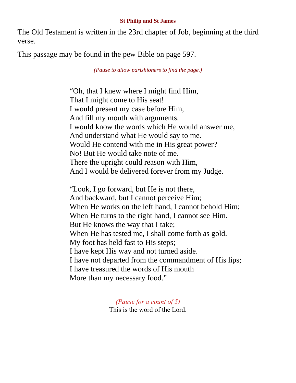## **St Philip and St James**

The Old Testament is written in the 23rd chapter of Job, beginning at the third verse.

This passage may be found in the pew Bible on page 597.

*(Pause to allow parishioners to find the page.)*

"Oh, that I knew where I might find Him, That I might come to His seat! I would present my case before Him, And fill my mouth with arguments. I would know the words which He would answer me, And understand what He would say to me. Would He contend with me in His great power? No! But He would take note of me. There the upright could reason with Him, And I would be delivered forever from my Judge.

"Look, I go forward, but He is not there, And backward, but I cannot perceive Him; When He works on the left hand, I cannot behold Him; When He turns to the right hand, I cannot see Him. But He knows the way that I take; When He has tested me, I shall come forth as gold. My foot has held fast to His steps; I have kept His way and not turned aside. I have not departed from the commandment of His lips; I have treasured the words of His mouth More than my necessary food."

> *(Pause for a count of 5)* This is the word of the Lord.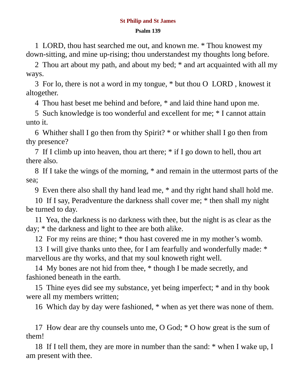## **St Philip and St James**

## **Psalm 139**

1 LORD, thou hast searched me out, and known me. \* Thou knowest my down-sitting, and mine up-rising; thou understandest my thoughts long before.

2 Thou art about my path, and about my bed; \* and art acquainted with all my ways.

3 For lo, there is not a word in my tongue, \* but thou O LORD , knowest it altogether.

4 Thou hast beset me behind and before, \* and laid thine hand upon me.

5 Such knowledge is too wonderful and excellent for me; \* I cannot attain unto it.

6 Whither shall I go then from thy Spirit? \* or whither shall I go then from thy presence?

7 If I climb up into heaven, thou art there; \* if I go down to hell, thou art there also.

8 If I take the wings of the morning, \* and remain in the uttermost parts of the sea;

9 Even there also shall thy hand lead me, \* and thy right hand shall hold me.

10 If I say, Peradventure the darkness shall cover me; \* then shall my night be turned to day.

11 Yea, the darkness is no darkness with thee, but the night is as clear as the day; \* the darkness and light to thee are both alike.

12 For my reins are thine; \* thou hast covered me in my mother's womb.

13 I will give thanks unto thee, for I am fearfully and wonderfully made: \* marvellous are thy works, and that my soul knoweth right well.

14 My bones are not hid from thee, \* though I be made secretly, and fashioned beneath in the earth.

15 Thine eyes did see my substance, yet being imperfect; \* and in thy book were all my members written;

16 Which day by day were fashioned, \* when as yet there was none of them.

17 How dear are thy counsels unto me, O God; \* O how great is the sum of them!

18 If I tell them, they are more in number than the sand: \* when I wake up, I am present with thee.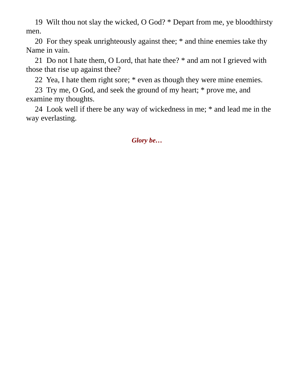19 Wilt thou not slay the wicked, O God? \* Depart from me, ye bloodthirsty men.

20 For they speak unrighteously against thee; \* and thine enemies take thy Name in vain.

21 Do not I hate them, O Lord, that hate thee? \* and am not I grieved with those that rise up against thee?

22 Yea, I hate them right sore; \* even as though they were mine enemies.

23 Try me, O God, and seek the ground of my heart; \* prove me, and examine my thoughts.

24 Look well if there be any way of wickedness in me; \* and lead me in the way everlasting.

*Glory be…*